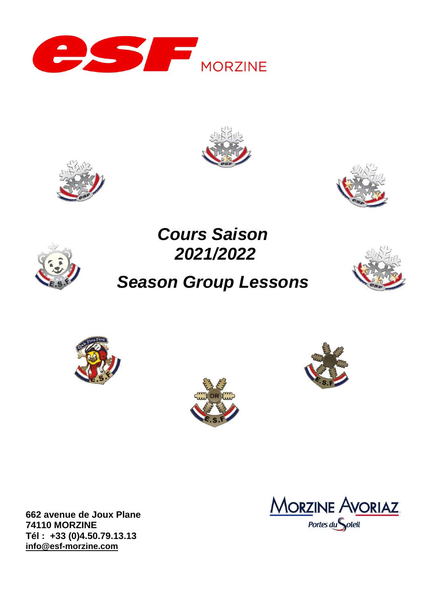







# *Cours Saison 2021/2022 Season Group Lessons*











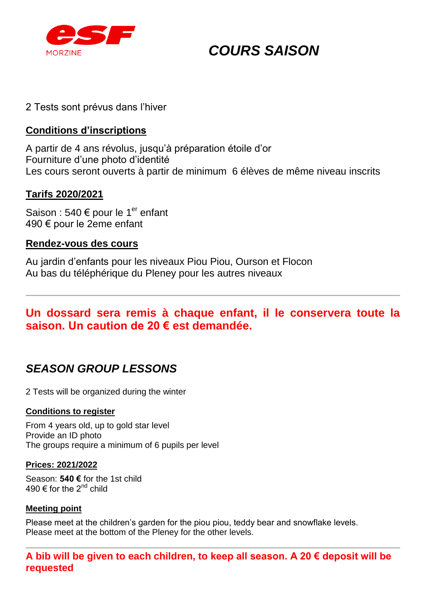

## *COURS SAISON*

## 2 Tests sont prévus dans l'hiver

## **Conditions d'inscriptions**

A partir de 4 ans révolus, jusqu'à préparation étoile d'or Fourniture d'une photo d'identité Les cours seront ouverts à partir de minimum 6 élèves de même niveau inscrits

## **Tarifs 2020/2021**

Saison : 540  $\epsilon$  pour le 1<sup>er</sup> enfant 490 € pour le 2eme enfant

### **Rendez-vous des cours**

Au jardin d'enfants pour les niveaux Piou Piou, Ourson et Flocon Au bas du téléphérique du Pleney pour les autres niveaux

## **Un dossard sera remis à chaque enfant, il le conservera toute la saison. Un caution de 20 € est demandée.**

## *SEASON GROUP LESSONS*

2 Tests will be organized during the winter

#### **Conditions to register**

From 4 years old, up to gold star level Provide an ID photo The groups require a minimum of 6 pupils per level

#### **Prices: 2021/2022**

Season: **540 €** for the 1st child 490  $\in$  for the 2<sup>nd</sup> child

#### **Meeting point**

Please meet at the children's garden for the piou piou, teddy bear and snowflake levels. Please meet at the bottom of the Pleney for the other levels.

**A bib will be given to each children, to keep all season. A 20 € deposit will be requested**